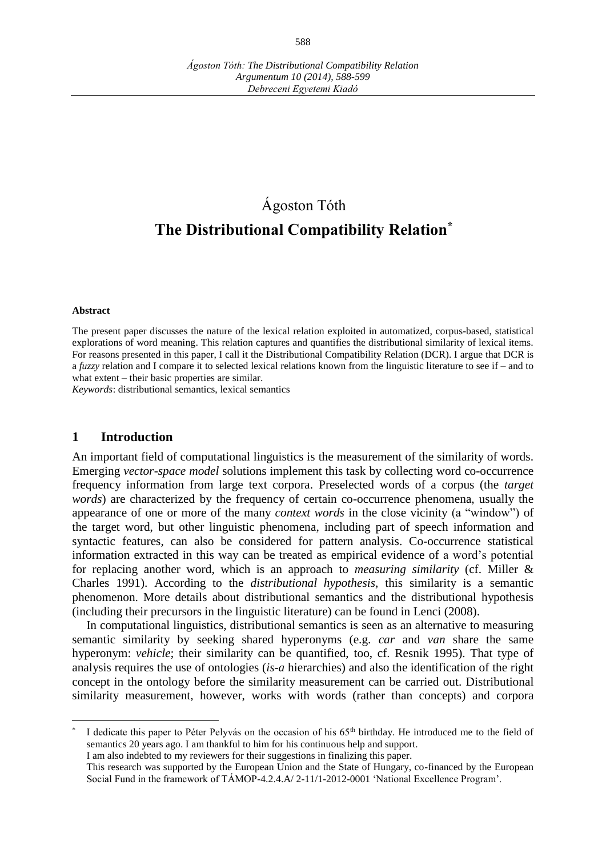# Ágoston Tóth **The Distributional Compatibility Relation\***

#### **Abstract**

 $\overline{a}$ 

The present paper discusses the nature of the lexical relation exploited in automatized, corpus-based, statistical explorations of word meaning. This relation captures and quantifies the distributional similarity of lexical items. For reasons presented in this paper, I call it the Distributional Compatibility Relation (DCR). I argue that DCR is a *fuzzy* relation and I compare it to selected lexical relations known from the linguistic literature to see if – and to what extent – their basic properties are similar.

*Keywords*: distributional semantics, lexical semantics

#### **1 Introduction**

An important field of computational linguistics is the measurement of the similarity of words. Emerging *vector-space model* solutions implement this task by collecting word co-occurrence frequency information from large text corpora. Preselected words of a corpus (the *target words*) are characterized by the frequency of certain co-occurrence phenomena, usually the appearance of one or more of the many *context words* in the close vicinity (a "window") of the target word, but other linguistic phenomena, including part of speech information and syntactic features, can also be considered for pattern analysis. Co-occurrence statistical information extracted in this way can be treated as empirical evidence of a word's potential for replacing another word, which is an approach to *measuring similarity* (cf. Miller & Charles 1991). According to the *distributional hypothesis*, this similarity is a semantic phenomenon. More details about distributional semantics and the distributional hypothesis (including their precursors in the linguistic literature) can be found in Lenci (2008).

In computational linguistics, distributional semantics is seen as an alternative to measuring semantic similarity by seeking shared hyperonyms (e.g. *car* and *van* share the same hyperonym: *vehicle*; their similarity can be quantified, too, cf. Resnik 1995). That type of analysis requires the use of ontologies (*is-a* hierarchies) and also the identification of the right concept in the ontology before the similarity measurement can be carried out. Distributional similarity measurement, however, works with words (rather than concepts) and corpora

I am also indebted to my reviewers for their suggestions in finalizing this paper.

<sup>\*</sup> I dedicate this paper to Péter Pelyvás on the occasion of his 65<sup>th</sup> birthday. He introduced me to the field of semantics 20 years ago. I am thankful to him for his continuous help and support.

This research was supported by the European Union and the State of Hungary, co-financed by the European Social Fund in the framework of TÁMOP-4.2.4.A/ 2-11/1-2012-0001 'National Excellence Program'.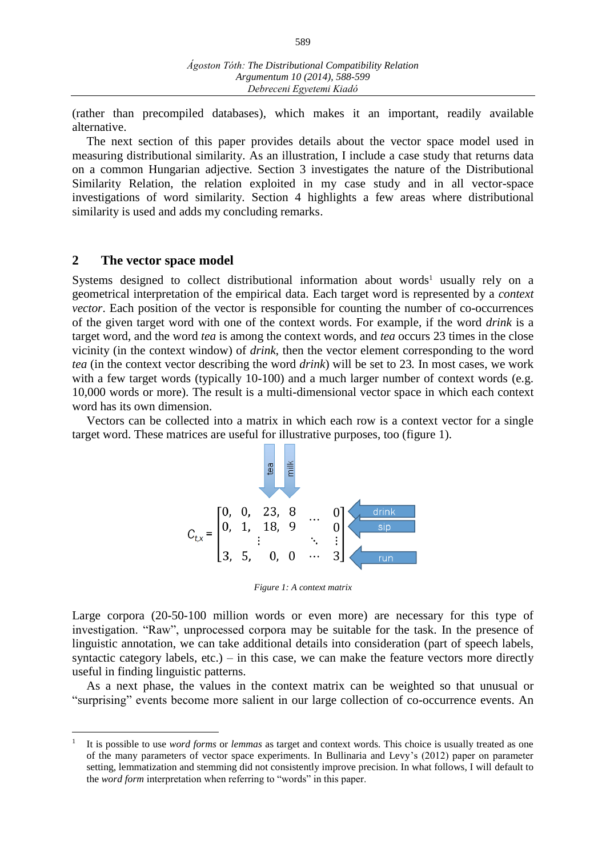(rather than precompiled databases), which makes it an important, readily available alternative.

The next section of this paper provides details about the vector space model used in measuring distributional similarity. As an illustration, I include a case study that returns data on a common Hungarian adjective. Section 3 investigates the nature of the Distributional Similarity Relation, the relation exploited in my case study and in all vector-space investigations of word similarity. Section 4 highlights a few areas where distributional similarity is used and adds my concluding remarks.

#### **2 The vector space model**

 $\overline{a}$ 

Systems designed to collect distributional information about words<sup>1</sup> usually rely on a geometrical interpretation of the empirical data. Each target word is represented by a *context vector*. Each position of the vector is responsible for counting the number of co-occurrences of the given target word with one of the context words. For example, if the word *drink* is a target word, and the word *tea* is among the context words, and *tea* occurs 23 times in the close vicinity (in the context window) of *drink*, then the vector element corresponding to the word *tea* (in the context vector describing the word *drink*) will be set to 23*.* In most cases, we work with a few target words (typically 10-100) and a much larger number of context words (e.g. 10,000 words or more). The result is a multi-dimensional vector space in which each context word has its own dimension.

Vectors can be collected into a matrix in which each row is a context vector for a single target word. These matrices are useful for illustrative purposes, too (figure 1).



*Figure 1: A context matrix*

Large corpora (20-50-100 million words or even more) are necessary for this type of investigation. "Raw", unprocessed corpora may be suitable for the task. In the presence of linguistic annotation, we can take additional details into consideration (part of speech labels, syntactic category labels,  $etc.$ ) – in this case, we can make the feature vectors more directly useful in finding linguistic patterns.

As a next phase, the values in the context matrix can be weighted so that unusual or "surprising" events become more salient in our large collection of co-occurrence events. An

<sup>1</sup> It is possible to use *word forms* or *lemmas* as target and context words. This choice is usually treated as one of the many parameters of vector space experiments. In Bullinaria and Levy's (2012) paper on parameter setting, lemmatization and stemming did not consistently improve precision. In what follows, I will default to the *word form* interpretation when referring to "words" in this paper.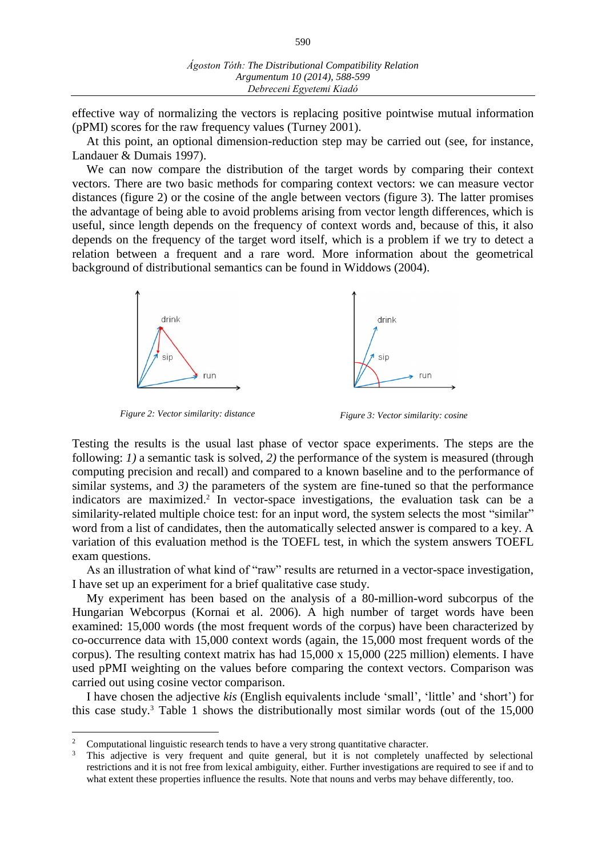effective way of normalizing the vectors is replacing positive pointwise mutual information (pPMI) scores for the raw frequency values (Turney 2001).

At this point, an optional dimension-reduction step may be carried out (see, for instance, Landauer & Dumais 1997).

We can now compare the distribution of the target words by comparing their context vectors. There are two basic methods for comparing context vectors: we can measure vector distances (figure 2) or the cosine of the angle between vectors (figure 3). The latter promises the advantage of being able to avoid problems arising from vector length differences, which is useful, since length depends on the frequency of context words and, because of this, it also depends on the frequency of the target word itself, which is a problem if we try to detect a relation between a frequent and a rare word. More information about the geometrical background of distributional semantics can be found in Widdows (2004).



*Figure 2: Vector similarity: distance Figure 3: Vector similarity: cosine*

Testing the results is the usual last phase of vector space experiments. The steps are the following: *1)* a semantic task is solved, *2)* the performance of the system is measured (through computing precision and recall) and compared to a known baseline and to the performance of similar systems, and *3)* the parameters of the system are fine-tuned so that the performance indicators are maximized. 2 In vector-space investigations, the evaluation task can be a similarity-related multiple choice test: for an input word, the system selects the most "similar" word from a list of candidates, then the automatically selected answer is compared to a key. A variation of this evaluation method is the TOEFL test, in which the system answers TOEFL exam questions.

As an illustration of what kind of "raw" results are returned in a vector-space investigation, I have set up an experiment for a brief qualitative case study.

My experiment has been based on the analysis of a 80-million-word subcorpus of the Hungarian Webcorpus (Kornai et al. 2006). A high number of target words have been examined: 15,000 words (the most frequent words of the corpus) have been characterized by co-occurrence data with 15,000 context words (again, the 15,000 most frequent words of the corpus). The resulting context matrix has had  $15,000 \times 15,000$  (225 million) elements. I have used pPMI weighting on the values before comparing the context vectors. Comparison was carried out using cosine vector comparison.

I have chosen the adjective *kis* (English equivalents include 'small', 'little' and 'short') for this case study. <sup>3</sup> Table 1 shows the distributionally most similar words (out of the 15,000

 $\overline{a}$ 

<sup>&</sup>lt;sup>2</sup> Computational linguistic research tends to have a very strong quantitative character.<br><sup>3</sup> This adjective is very frequent and quite general but it is not completely use

This adjective is very frequent and quite general, but it is not completely unaffected by selectional restrictions and it is not free from lexical ambiguity, either. Further investigations are required to see if and to what extent these properties influence the results. Note that nouns and verbs may behave differently, too.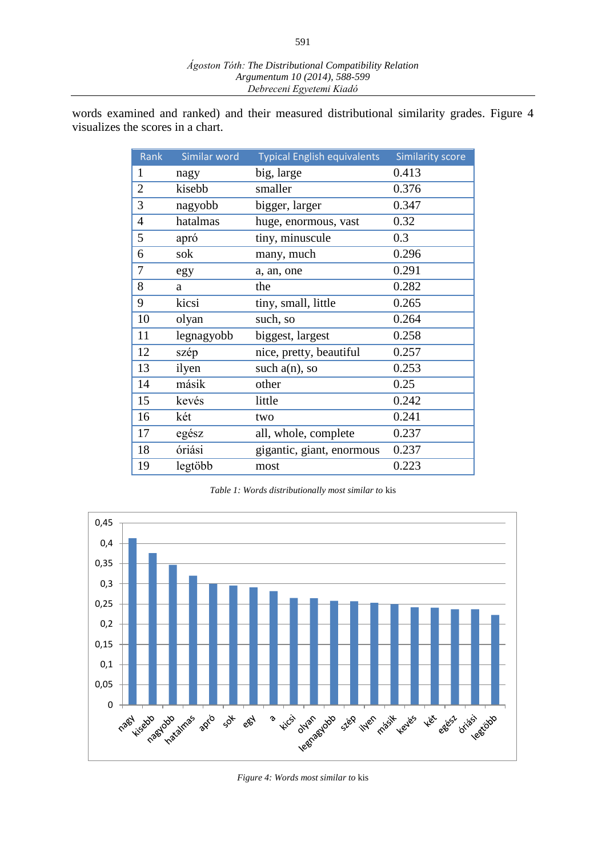words examined and ranked) and their measured distributional similarity grades. Figure 4 visualizes the scores in a chart.

| Rank           | Similar word | <b>Typical English equivalents</b> | <b>Similarity score</b> |
|----------------|--------------|------------------------------------|-------------------------|
| 1              | nagy         | big, large                         | 0.413                   |
| $\overline{2}$ | kisebb       | smaller                            | 0.376                   |
| 3              | nagyobb      | bigger, larger                     | 0.347                   |
| 4              | hatalmas     | huge, enormous, vast               | 0.32                    |
| 5              | apró         | tiny, minuscule                    | 0.3                     |
| 6              | sok          | many, much                         | 0.296                   |
| 7              | egy          | a, an, one                         | 0.291                   |
| 8              | a            | the                                | 0.282                   |
| 9              | kicsi        | tiny, small, little                | 0.265                   |
| 10             | olyan        | such, so                           | 0.264                   |
| 11             | legnagyobb   | biggest, largest                   | 0.258                   |
| 12             | szép         | nice, pretty, beautiful            | 0.257                   |
| 13             | ilyen        | such $a(n)$ , so                   | 0.253                   |
| 14             | másik        | other                              | 0.25                    |
| 15             | kevés        | little                             | 0.242                   |
| 16             | két          | two                                | 0.241                   |
| 17             | egész        | all, whole, complete               | 0.237                   |
| 18             | óriási       | gigantic, giant, enormous          | 0.237                   |
| 19             | legtöbb      | most                               | 0.223                   |

*Table 1: Words distributionally most similar to* kis



*Figure 4: Words most similar to* kis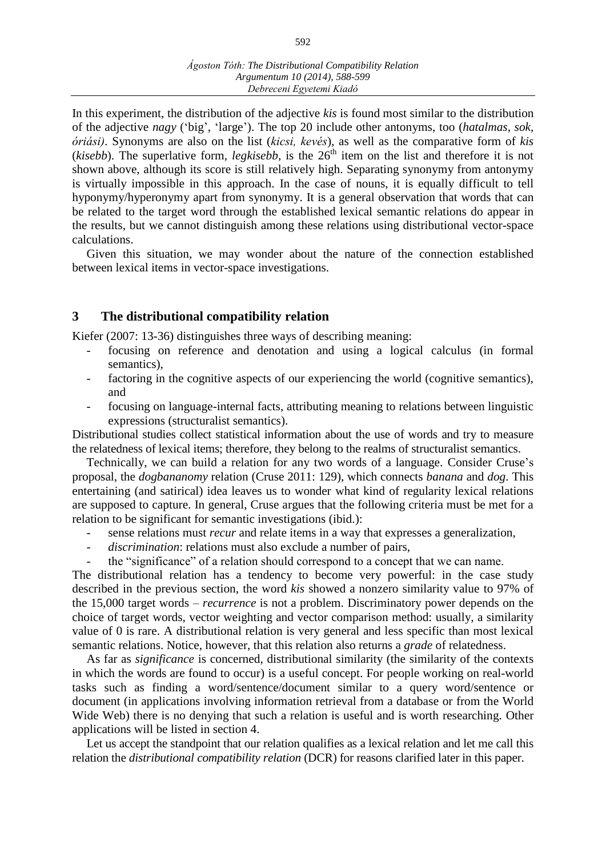In this experiment, the distribution of the adjective *kis* is found most similar to the distribution of the adjective *nagy* ('big', 'large'). The top 20 include other antonyms, too (*hatalmas, sok, óriási)*. Synonyms are also on the list (*kicsi, kevés*)*,* as well as the comparative form of *kis* (*kisebb*). The superlative form, *legkisebb*, is the  $26<sup>th</sup>$  item on the list and therefore it is not shown above, although its score is still relatively high. Separating synonymy from antonymy is virtually impossible in this approach. In the case of nouns, it is equally difficult to tell hyponymy/hyperonymy apart from synonymy. It is a general observation that words that can be related to the target word through the established lexical semantic relations do appear in the results, but we cannot distinguish among these relations using distributional vector-space calculations.

Given this situation, we may wonder about the nature of the connection established between lexical items in vector-space investigations.

## **3 The distributional compatibility relation**

Kiefer (2007: 13-36) distinguishes three ways of describing meaning:

- focusing on reference and denotation and using a logical calculus (in formal semantics),
- factoring in the cognitive aspects of our experiencing the world (cognitive semantics), and
- focusing on language-internal facts, attributing meaning to relations between linguistic expressions (structuralist semantics).

Distributional studies collect statistical information about the use of words and try to measure the relatedness of lexical items; therefore, they belong to the realms of structuralist semantics.

Technically, we can build a relation for any two words of a language. Consider Cruse's proposal, the *dogbananomy* relation (Cruse 2011: 129), which connects *banana* and *dog*. This entertaining (and satirical) idea leaves us to wonder what kind of regularity lexical relations are supposed to capture. In general, Cruse argues that the following criteria must be met for a relation to be significant for semantic investigations (ibid.):

- sense relations must *recur* and relate items in a way that expresses a generalization,
- *discrimination*: relations must also exclude a number of pairs,
- the "significance" of a relation should correspond to a concept that we can name.

The distributional relation has a tendency to become very powerful: in the case study described in the previous section, the word *kis* showed a nonzero similarity value to 97% of the 15,000 target words – *recurrence* is not a problem. Discriminatory power depends on the choice of target words, vector weighting and vector comparison method: usually, a similarity value of 0 is rare. A distributional relation is very general and less specific than most lexical semantic relations. Notice, however, that this relation also returns a *grade* of relatedness.

As far as *significance* is concerned, distributional similarity (the similarity of the contexts in which the words are found to occur) is a useful concept. For people working on real-world tasks such as finding a word/sentence/document similar to a query word/sentence or document (in applications involving information retrieval from a database or from the World Wide Web) there is no denying that such a relation is useful and is worth researching. Other applications will be listed in section 4.

Let us accept the standpoint that our relation qualifies as a lexical relation and let me call this relation the *distributional compatibility relation* (DCR) for reasons clarified later in this paper.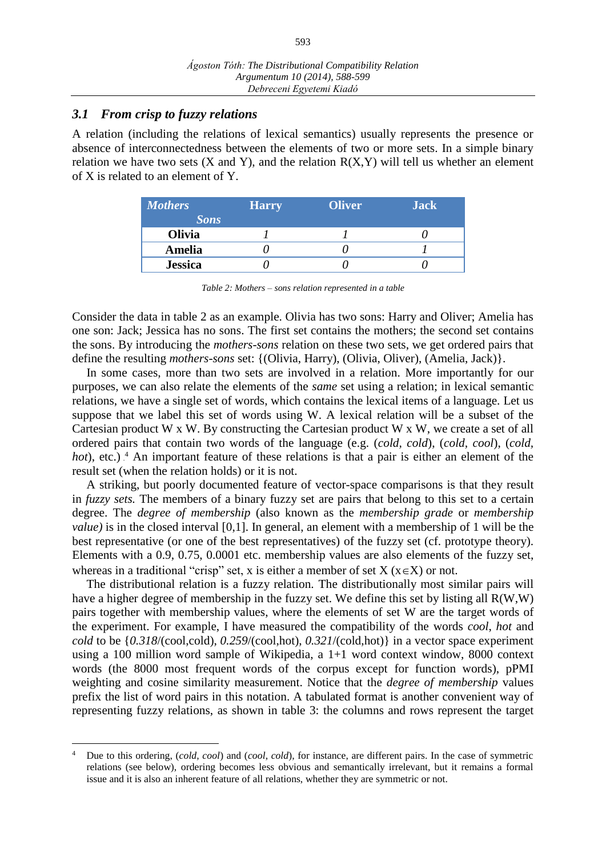# *3.1 From crisp to fuzzy relations*

 $\overline{a}$ 

A relation (including the relations of lexical semantics) usually represents the presence or absence of interconnectedness between the elements of two or more sets. In a simple binary relation we have two sets  $(X \text{ and } Y)$ , and the relation  $R(X, Y)$  will tell us whether an element of X is related to an element of Y.

| <b>Mothers</b> | <b>Harry</b> | <b>Oliver</b> | <b>Jack</b> |
|----------------|--------------|---------------|-------------|
| <b>Sons</b>    |              |               |             |
| Olivia         |              |               |             |
| Amelia         |              |               |             |
| <b>Jessica</b> |              |               |             |

*Table 2: Mothers – sons relation represented in a table*

Consider the data in table 2 as an example. Olivia has two sons: Harry and Oliver; Amelia has one son: Jack; Jessica has no sons. The first set contains the mothers; the second set contains the sons. By introducing the *mothers-sons* relation on these two sets, we get ordered pairs that define the resulting *mothers-sons* set: {(Olivia, Harry), (Olivia, Oliver), (Amelia, Jack)}.

In some cases, more than two sets are involved in a relation. More importantly for our purposes, we can also relate the elements of the *same* set using a relation; in lexical semantic relations, we have a single set of words, which contains the lexical items of a language. Let us suppose that we label this set of words using W. A lexical relation will be a subset of the Cartesian product W x W. By constructing the Cartesian product W x W, we create a set of all ordered pairs that contain two words of the language (e.g. (*cold, cold*), (*cold, cool*), (*cold,*  hot), etc.)<sup>4</sup> An important feature of these relations is that a pair is either an element of the result set (when the relation holds) or it is not.

A striking, but poorly documented feature of vector-space comparisons is that they result in *fuzzy sets.* The members of a binary fuzzy set are pairs that belong to this set to a certain degree. The *degree of membership* (also known as the *membership grade* or *membership value*) is in the closed interval [0,1]. In general, an element with a membership of 1 will be the best representative (or one of the best representatives) of the fuzzy set (cf. prototype theory). Elements with a 0.9, 0.75, 0.0001 etc. membership values are also elements of the fuzzy set, whereas in a traditional "crisp" set, x is either a member of set  $X$  ( $x \in X$ ) or not.

The distributional relation is a fuzzy relation. The distributionally most similar pairs will have a higher degree of membership in the fuzzy set. We define this set by listing all R(W,W) pairs together with membership values, where the elements of set W are the target words of the experiment. For example, I have measured the compatibility of the words *cool*, *hot* and *cold* to be {*0.318*/(cool,cold), *0.259*/(cool,hot), *0.321*/(cold,hot)} in a vector space experiment using a 100 million word sample of Wikipedia, a 1+1 word context window, 8000 context words (the 8000 most frequent words of the corpus except for function words), pPMI weighting and cosine similarity measurement. Notice that the *degree of membership* values prefix the list of word pairs in this notation. A tabulated format is another convenient way of representing fuzzy relations, as shown in table 3: the columns and rows represent the target

<sup>4</sup> Due to this ordering, (*cold, cool*) and (*cool, cold*), for instance, are different pairs. In the case of symmetric relations (see below), ordering becomes less obvious and semantically irrelevant, but it remains a formal issue and it is also an inherent feature of all relations, whether they are symmetric or not.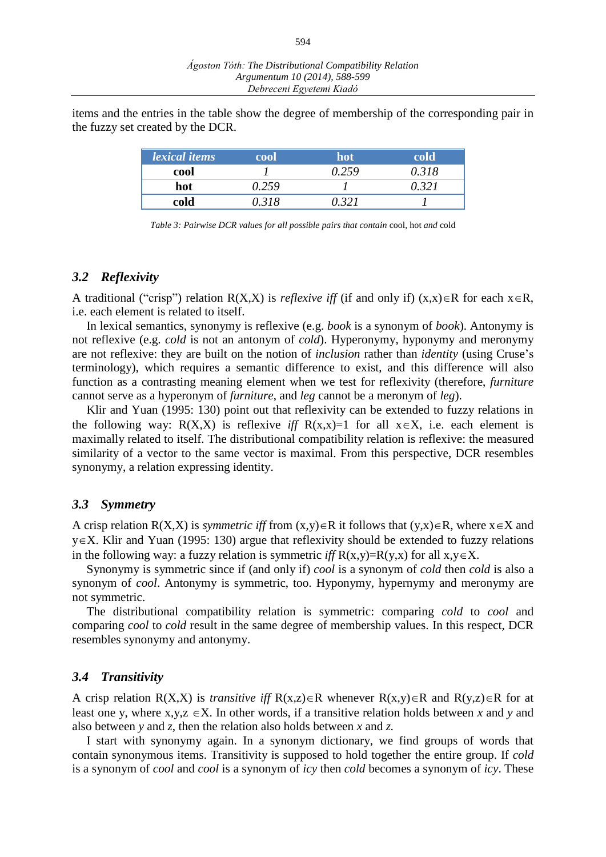items and the entries in the table show the degree of membership of the corresponding pair in the fuzzy set created by the DCR.

| <i>lexical items</i> | cool  | hot   | cold  |
|----------------------|-------|-------|-------|
| cool                 |       | N 259 | 0.318 |
| hot                  | N 259 |       |       |
| cold                 | N 318 |       |       |

*Table 3: Pairwise DCR values for all possible pairs that contain* cool*,* hot *and* cold

## *3.2 Reflexivity*

A traditional ("crisp") relation  $R(X,X)$  is *reflexive iff* (if and only if)  $(x,x) \in R$  for each  $x \in R$ , i.e. each element is related to itself.

In lexical semantics, synonymy is reflexive (e.g. *book* is a synonym of *book*). Antonymy is not reflexive (e.g. *cold* is not an antonym of *cold*). Hyperonymy, hyponymy and meronymy are not reflexive: they are built on the notion of *inclusion* rather than *identity* (using Cruse's terminology), which requires a semantic difference to exist, and this difference will also function as a contrasting meaning element when we test for reflexivity (therefore, *furniture* cannot serve as a hyperonym of *furniture*, and *leg* cannot be a meronym of *leg*).

Klir and Yuan (1995: 130) point out that reflexivity can be extended to fuzzy relations in the following way:  $R(X,X)$  is reflexive *iff*  $R(x,x)=1$  for all  $x \in X$ , i.e. each element is maximally related to itself. The distributional compatibility relation is reflexive: the measured similarity of a vector to the same vector is maximal. From this perspective, DCR resembles synonymy, a relation expressing identity.

## *3.3 Symmetry*

A crisp relation R(X,X) is *symmetric iff* from  $(x,y)\in R$  it follows that  $(y,x)\in R$ , where  $x\in X$  and  $y \in X$ . Klir and Yuan (1995: 130) argue that reflexivity should be extended to fuzzy relations in the following way: a fuzzy relation is symmetric *iff*  $R(x,y)=R(y,x)$  for all  $x,y\in X$ .

Synonymy is symmetric since if (and only if) *cool* is a synonym of *cold* then *cold* is also a synonym of *cool*. Antonymy is symmetric, too. Hyponymy, hypernymy and meronymy are not symmetric.

The distributional compatibility relation is symmetric: comparing *cold* to *cool* and comparing *cool* to *cold* result in the same degree of membership values. In this respect, DCR resembles synonymy and antonymy.

#### *3.4 Transitivity*

A crisp relation  $R(X,X)$  is *transitive iff*  $R(x,z) \in R$  whenever  $R(x,y) \in R$  and  $R(y,z) \in R$  for at least one y, where x,y, $z \in X$ . In other words, if a transitive relation holds between x and y and also between *y* and *z*, then the relation also holds between *x* and *z.* 

I start with synonymy again. In a synonym dictionary, we find groups of words that contain synonymous items. Transitivity is supposed to hold together the entire group. If *cold* is a synonym of *cool* and *cool* is a synonym of *icy* then *cold* becomes a synonym of *icy*. These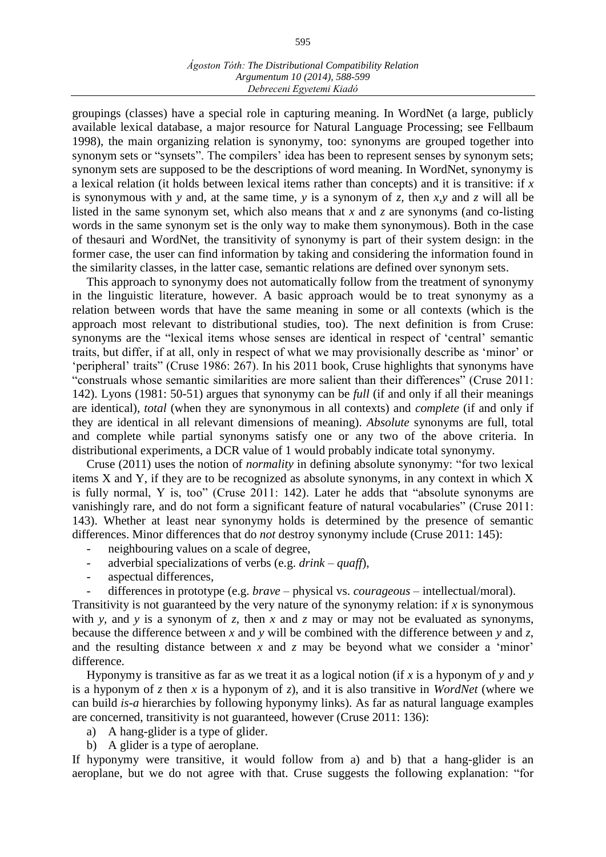#### *Ágoston Tóth: The Distributional Compatibility Relation Argumentum 10 (2014), 588-599 Debreceni Egyetemi Kiadó*

groupings (classes) have a special role in capturing meaning. In WordNet (a large, publicly available lexical database, a major resource for Natural Language Processing; see Fellbaum 1998), the main organizing relation is synonymy, too: synonyms are grouped together into synonym sets or "synsets". The compilers' idea has been to represent senses by synonym sets; synonym sets are supposed to be the descriptions of word meaning. In WordNet, synonymy is a lexical relation (it holds between lexical items rather than concepts) and it is transitive: if *x* is synonymous with *y* and, at the same time, *y* is a synonym of *z,* then *x,y* and *z* will all be listed in the same synonym set, which also means that *x* and *z* are synonyms (and co-listing words in the same synonym set is the only way to make them synonymous). Both in the case of thesauri and WordNet, the transitivity of synonymy is part of their system design: in the former case, the user can find information by taking and considering the information found in the similarity classes, in the latter case, semantic relations are defined over synonym sets.

This approach to synonymy does not automatically follow from the treatment of synonymy in the linguistic literature, however. A basic approach would be to treat synonymy as a relation between words that have the same meaning in some or all contexts (which is the approach most relevant to distributional studies, too). The next definition is from Cruse: synonyms are the "lexical items whose senses are identical in respect of 'central' semantic traits, but differ, if at all, only in respect of what we may provisionally describe as 'minor' or 'peripheral' traits" (Cruse 1986: 267). In his 2011 book, Cruse highlights that synonyms have "construals whose semantic similarities are more salient than their differences" (Cruse 2011: 142). Lyons (1981: 50-51) argues that synonymy can be *full* (if and only if all their meanings are identical), *total* (when they are synonymous in all contexts) and *complete* (if and only if they are identical in all relevant dimensions of meaning). *Absolute* synonyms are full, total and complete while partial synonyms satisfy one or any two of the above criteria. In distributional experiments, a DCR value of 1 would probably indicate total synonymy.

Cruse (2011) uses the notion of *normality* in defining absolute synonymy: "for two lexical items X and Y, if they are to be recognized as absolute synonyms, in any context in which X is fully normal, Y is, too" (Cruse 2011: 142). Later he adds that "absolute synonyms are vanishingly rare, and do not form a significant feature of natural vocabularies" (Cruse 2011: 143). Whether at least near synonymy holds is determined by the presence of semantic differences. Minor differences that do *not* destroy synonymy include (Cruse 2011: 145):

- neighbouring values on a scale of degree,
- adverbial specializations of verbs (e.g. *drink – quaff*),
- aspectual differences.
- differences in prototype (e.g. *brave* physical vs. *courageous* intellectual/moral).

Transitivity is not guaranteed by the very nature of the synonymy relation: if  $x$  is synonymous with *y*, and *y* is a synonym of *z*, then *x* and *z* may or may not be evaluated as synonyms, because the difference between *x* and *y* will be combined with the difference between *y* and *z*, and the resulting distance between  $x$  and  $z$  may be beyond what we consider a 'minor' difference.

Hyponymy is transitive as far as we treat it as a logical notion (if  $x$  is a hyponym of  $y$  and  $y$ is a hyponym of *z* then *x* is a hyponym of *z*), and it is also transitive in *WordNet* (where we can build *is-a* hierarchies by following hyponymy links). As far as natural language examples are concerned, transitivity is not guaranteed, however (Cruse 2011: 136):

- a) A hang-glider is a type of glider.
- b) A glider is a type of aeroplane.

If hyponymy were transitive, it would follow from a) and b) that a hang-glider is an aeroplane, but we do not agree with that. Cruse suggests the following explanation: "for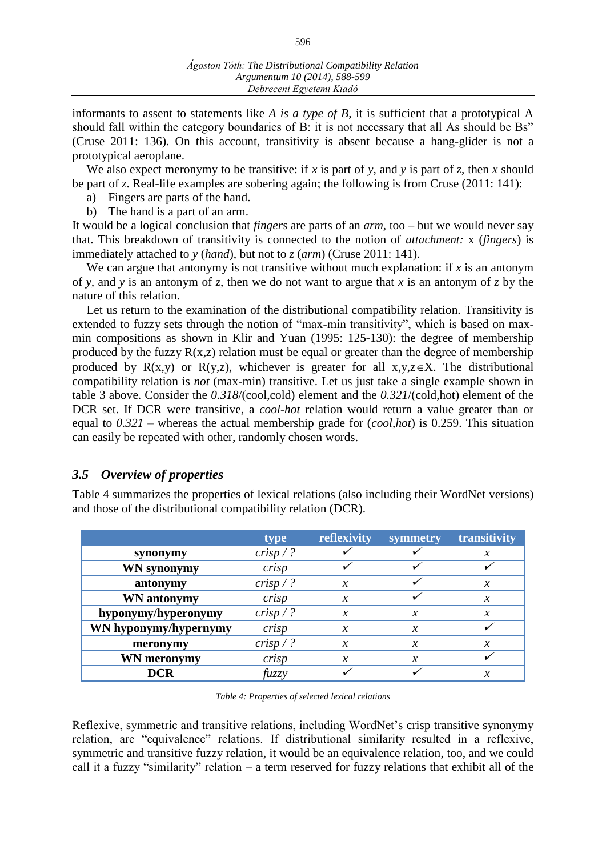informants to assent to statements like *A is a type of B*, it is sufficient that a prototypical A should fall within the category boundaries of B: it is not necessary that all As should be Bs" (Cruse 2011: 136). On this account, transitivity is absent because a hang-glider is not a prototypical aeroplane.

We also expect meronymy to be transitive: if x is part of y, and y is part of z, then x should be part of *z*. Real-life examples are sobering again; the following is from Cruse (2011: 141):

- a) Fingers are parts of the hand.
- b) The hand is a part of an arm.

It would be a logical conclusion that *fingers* are parts of an *arm*, too – but we would never say that. This breakdown of transitivity is connected to the notion of *attachment:* x (*fingers*) is immediately attached to *y* (*hand*), but not to *z* (*arm*) (Cruse 2011: 141).

We can argue that antonymy is not transitive without much explanation: if  $x$  is an antonym of *y*, and *y* is an antonym of *z*, then we do not want to argue that *x* is an antonym of *z* by the nature of this relation.

Let us return to the examination of the distributional compatibility relation. Transitivity is extended to fuzzy sets through the notion of "max-min transitivity", which is based on maxmin compositions as shown in Klir and Yuan (1995: 125-130): the degree of membership produced by the fuzzy  $R(x,z)$  relation must be equal or greater than the degree of membership produced by  $R(x,y)$  or  $R(y,z)$ , whichever is greater for all  $x,y,z\in X$ . The distributional compatibility relation is *not* (max-min) transitive. Let us just take a single example shown in table 3 above. Consider the *0.318*/(cool,cold) element and the *0.321*/(cold,hot) element of the DCR set. If DCR were transitive, a *cool-hot* relation would return a value greater than or equal to *0.321* – whereas the actual membership grade for (*cool*,*hot*) is 0.259. This situation can easily be repeated with other, randomly chosen words.

# *3.5 Overview of properties*

Table 4 summarizes the properties of lexical relations (also including their WordNet versions) and those of the distributional compatibility relation (DCR).

|                       | type      | reflexivity   | symmetry            | transitivity        |
|-----------------------|-----------|---------------|---------------------|---------------------|
| synonymy              | crisp / ? |               |                     | $\mathcal{X}$       |
| <b>WN</b> synonymy    | crisp     |               |                     |                     |
| antonymy              | crisp / ? | $\mathcal{X}$ |                     | $\mathcal{X}$       |
| <b>WN</b> antonymy    | crisp     | $\chi$        |                     | $\mathcal{X}$       |
| hyponymy/hyperonymy   | crisp / ? | $\mathcal{X}$ | $\boldsymbol{\chi}$ | $\boldsymbol{\chi}$ |
| WN hyponymy/hypernymy | crisp     | $\chi$        | $\chi$              |                     |
| meronymy              | crisp / ? | $\mathcal{X}$ | $\mathcal{X}$       | $\mathcal{X}$       |
| <b>WN</b> meronymy    | crisp     | х             | х                   |                     |
| DCR                   | tuzz:     |               |                     |                     |

*Table 4: Properties of selected lexical relations*

Reflexive, symmetric and transitive relations, including WordNet's crisp transitive synonymy relation, are "equivalence" relations. If distributional similarity resulted in a reflexive, symmetric and transitive fuzzy relation, it would be an equivalence relation, too, and we could call it a fuzzy "similarity" relation – a term reserved for fuzzy relations that exhibit all of the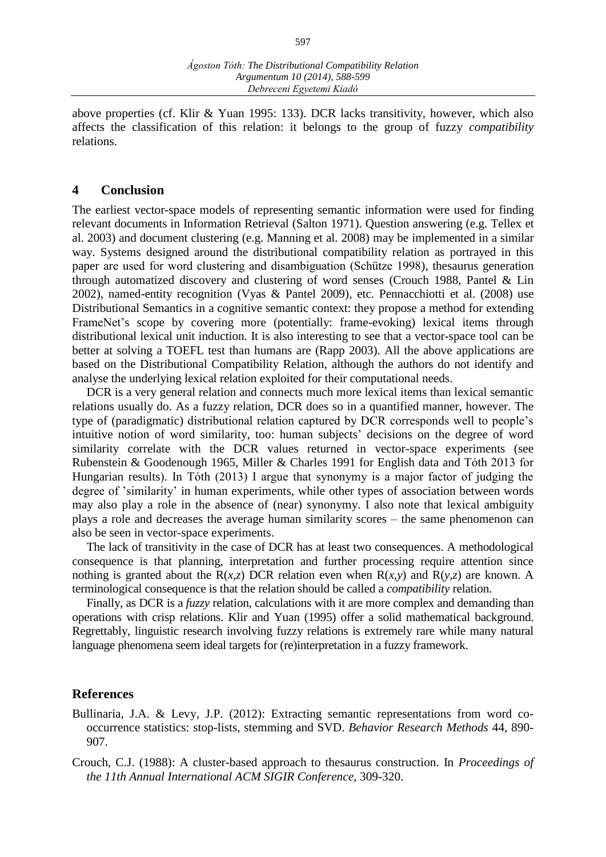above properties (cf. Klir & Yuan 1995: 133). DCR lacks transitivity, however, which also affects the classification of this relation: it belongs to the group of fuzzy *compatibility* relations.

## **4 Conclusion**

The earliest vector-space models of representing semantic information were used for finding relevant documents in Information Retrieval (Salton 1971). Question answering (e.g. Tellex et al. 2003) and document clustering (e.g. Manning et al. 2008) may be implemented in a similar way. Systems designed around the distributional compatibility relation as portrayed in this paper are used for word clustering and disambiguation (Schütze 1998), thesaurus generation through automatized discovery and clustering of word senses (Crouch 1988, Pantel & Lin 2002), named-entity recognition (Vyas & Pantel 2009), etc. Pennacchiotti et al. (2008) use Distributional Semantics in a cognitive semantic context: they propose a method for extending FrameNet's scope by covering more (potentially: frame-evoking) lexical items through distributional lexical unit induction. It is also interesting to see that a vector-space tool can be better at solving a TOEFL test than humans are (Rapp 2003). All the above applications are based on the Distributional Compatibility Relation, although the authors do not identify and analyse the underlying lexical relation exploited for their computational needs.

DCR is a very general relation and connects much more lexical items than lexical semantic relations usually do. As a fuzzy relation, DCR does so in a quantified manner, however. The type of (paradigmatic) distributional relation captured by DCR corresponds well to people's intuitive notion of word similarity, too: human subjects' decisions on the degree of word similarity correlate with the DCR values returned in vector-space experiments (see Rubenstein & Goodenough 1965, Miller & Charles 1991 for English data and Tóth 2013 for Hungarian results). In Tóth (2013) I argue that synonymy is a major factor of judging the degree of 'similarity' in human experiments, while other types of association between words may also play a role in the absence of (near) synonymy. I also note that lexical ambiguity plays a role and decreases the average human similarity scores – the same phenomenon can also be seen in vector-space experiments.

The lack of transitivity in the case of DCR has at least two consequences. A methodological consequence is that planning, interpretation and further processing require attention since nothing is granted about the  $R(x,z)$  DCR relation even when  $R(x,y)$  and  $R(y,z)$  are known. A terminological consequence is that the relation should be called a *compatibility* relation.

Finally, as DCR is a *fuzzy* relation, calculations with it are more complex and demanding than operations with crisp relations. Klir and Yuan (1995) offer a solid mathematical background. Regrettably, linguistic research involving fuzzy relations is extremely rare while many natural language phenomena seem ideal targets for (re)interpretation in a fuzzy framework.

#### **References**

- Bullinaria, J.A. & Levy, J.P. (2012): Extracting semantic representations from word cooccurrence statistics: stop-lists, stemming and SVD. *Behavior Research Methods* 44, 890- 907.
- Crouch, C.J. (1988): A cluster-based approach to thesaurus construction. In *Proceedings of the 11th Annual International ACM SIGIR Conference,* 309-320.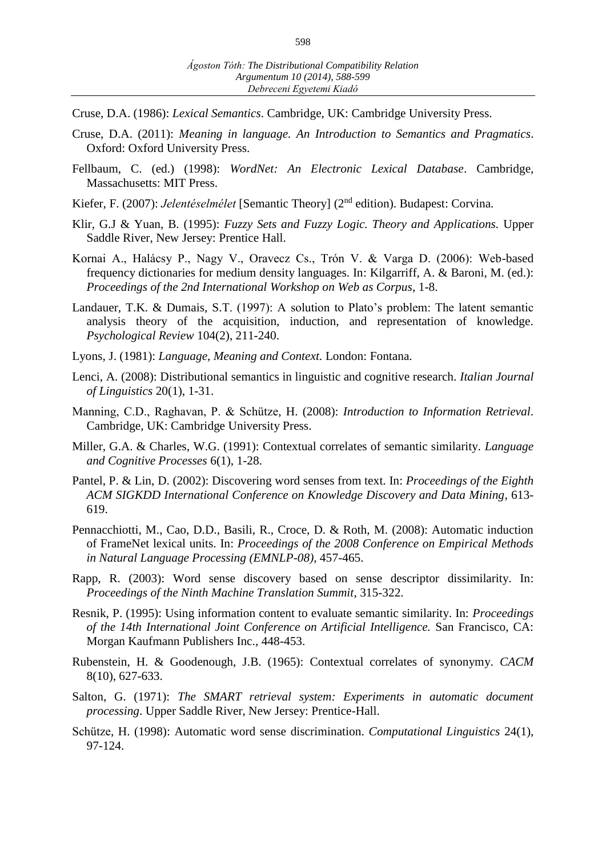- Cruse, D.A. (1986): *Lexical Semantics*. Cambridge, UK: Cambridge University Press.
- Cruse, D.A. (2011): *Meaning in language. An Introduction to Semantics and Pragmatics*. Oxford: Oxford University Press.
- Fellbaum, C. (ed.) (1998): *WordNet: An Electronic Lexical Database*. Cambridge, Massachusetts: MIT Press.
- Kiefer, F. (2007): *Jelentéselmélet* [Semantic Theory] (2nd edition). Budapest: Corvina.
- Klir, G.J & Yuan, B. (1995): *Fuzzy Sets and Fuzzy Logic. Theory and Applications.* Upper Saddle River, New Jersey: Prentice Hall.
- Kornai A., Halácsy P., Nagy V., Oravecz Cs., Trón V. & Varga D. (2006): Web-based frequency dictionaries for medium density languages. In: Kilgarriff, A. & Baroni, M. (ed.): *Proceedings of the 2nd International Workshop on Web as Corpus,* 1-8.
- Landauer, T.K. & Dumais, S.T. (1997): A solution to Plato's problem: The latent semantic analysis theory of the acquisition, induction, and representation of knowledge. *Psychological Review* 104(2), 211-240.
- Lyons, J. (1981): *Language, Meaning and Context.* London: Fontana.
- Lenci, A. (2008): Distributional semantics in linguistic and cognitive research. *Italian Journal of Linguistics* 20(1), 1-31.
- Manning, C.D., Raghavan, P. & Schütze, H. (2008): *Introduction to Information Retrieval*. Cambridge, UK: Cambridge University Press.
- Miller, G.A. & Charles, W.G. (1991): Contextual correlates of semantic similarity. *Language and Cognitive Processes* 6(1), 1-28.
- Pantel, P. & Lin, D. (2002): Discovering word senses from text. In: *Proceedings of the Eighth ACM SIGKDD International Conference on Knowledge Discovery and Data Mining*, 613- 619.
- Pennacchiotti, M., Cao, D.D., Basili, R., Croce, D. & Roth, M. (2008): Automatic induction of FrameNet lexical units. In: *Proceedings of the 2008 Conference on Empirical Methods in Natural Language Processing (EMNLP-08)*, 457-465.
- Rapp, R. (2003): Word sense discovery based on sense descriptor dissimilarity. In: *Proceedings of the Ninth Machine Translation Summit*, 315-322.
- Resnik, P. (1995): Using information content to evaluate semantic similarity. In: *Proceedings of the 14th International Joint Conference on Artificial Intelligence.* San Francisco, CA: Morgan Kaufmann Publishers Inc., 448-453.
- Rubenstein, H. & Goodenough, J.B. (1965): Contextual correlates of synonymy. *CACM* 8(10), 627-633.
- Salton, G. (1971): *The SMART retrieval system: Experiments in automatic document processing*. Upper Saddle River, New Jersey: Prentice-Hall.
- Schütze, H. (1998): Automatic word sense discrimination. *Computational Linguistics* 24(1), 97-124.